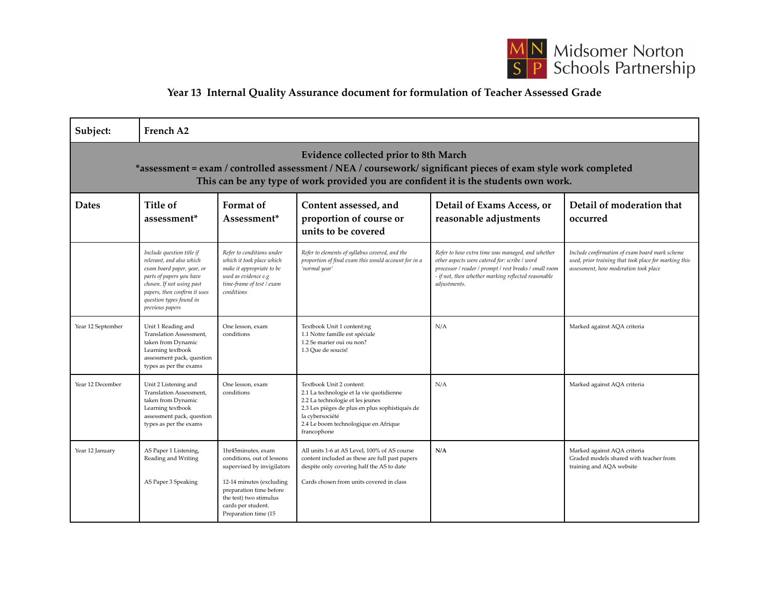

## **Year 13 Internal Quality Assurance document for formulation of Teacher Assessed Grade**

| Subject:                                                                                                                                                                                                                                        | French A2                                                                                                                                                                                                                  |                                                                                                                                                                                                               |                                                                                                                                                                                                                                      |                                                                                                                                                                                                                                    |                                                                                                                                                  |  |  |  |  |
|-------------------------------------------------------------------------------------------------------------------------------------------------------------------------------------------------------------------------------------------------|----------------------------------------------------------------------------------------------------------------------------------------------------------------------------------------------------------------------------|---------------------------------------------------------------------------------------------------------------------------------------------------------------------------------------------------------------|--------------------------------------------------------------------------------------------------------------------------------------------------------------------------------------------------------------------------------------|------------------------------------------------------------------------------------------------------------------------------------------------------------------------------------------------------------------------------------|--------------------------------------------------------------------------------------------------------------------------------------------------|--|--|--|--|
| Evidence collected prior to 8th March<br>*assessment = exam / controlled assessment / NEA / coursework/ significant pieces of exam style work completed<br>This can be any type of work provided you are confident it is the students own work. |                                                                                                                                                                                                                            |                                                                                                                                                                                                               |                                                                                                                                                                                                                                      |                                                                                                                                                                                                                                    |                                                                                                                                                  |  |  |  |  |
| <b>Dates</b>                                                                                                                                                                                                                                    | Title of<br>assessment <sup>*</sup>                                                                                                                                                                                        | Format of<br>Assessment <sup>*</sup>                                                                                                                                                                          | Content assessed, and<br>proportion of course or<br>units to be covered                                                                                                                                                              | Detail of Exams Access, or<br>reasonable adjustments                                                                                                                                                                               | Detail of moderation that<br>occurred                                                                                                            |  |  |  |  |
|                                                                                                                                                                                                                                                 | Include question title if<br>relevant, and also which<br>exam board paper, year, or<br>parts of papers you have<br>chosen. If not using past<br>papers, then confirm it uses<br>question types found in<br>previous papers | Refer to conditions under<br>which it took place which<br>make it appropriate to be<br>used as evidence e.g<br>time-frame of test / exam<br>conditions                                                        | Refer to elements of syllabus covered, and the<br>proportion of final exam this would account for in a<br>'normal year'                                                                                                              | Refer to how extra time was managed, and whether<br>other aspects were catered for: scribe / word<br>processor / reader / prompt / rest breaks / small room<br>- if not, then whether marking reflected reasonable<br>adjustments. | Include confirmation of exam board mark scheme<br>used, prior training that took place for marking this<br>assessment, how moderation took place |  |  |  |  |
| Year 12 September                                                                                                                                                                                                                               | Unit 1 Reading and<br>Translation Assessment,<br>taken from Dynamic<br>Learning textbook<br>assessment pack, question<br>types as per the exams                                                                            | One lesson, exam<br>conditions                                                                                                                                                                                | Textbook Unit 1 content:ng<br>1.1 Notre famille est spéciale<br>1.2 Se marier oui ou non?<br>1.3 Oue de soucis!                                                                                                                      | N/A                                                                                                                                                                                                                                | Marked against AQA criteria                                                                                                                      |  |  |  |  |
| Year 12 December                                                                                                                                                                                                                                | Unit 2 Listening and<br>Translation Assessment,<br>taken from Dynamic<br>Learning textbook<br>assessment pack, question<br>types as per the exams                                                                          | One lesson, exam<br>conditions                                                                                                                                                                                | Textbook Unit 2 content:<br>2.1 La technologie et la vie quotidienne<br>2.2 La technologie et les jeunes<br>2.3 Les pièges de plus en plus sophistiqués de<br>la cybersociété<br>2.4 Le boom technologique en Afrique<br>francophone | N/A                                                                                                                                                                                                                                | Marked against AQA criteria                                                                                                                      |  |  |  |  |
| Year 12 January                                                                                                                                                                                                                                 | AS Paper 1 Listening,<br>Reading and Writing<br>AS Paper 3 Speaking                                                                                                                                                        | 1hr45minutes, exam<br>conditions, out of lessons<br>supervised by invigilators<br>12-14 minutes (excluding<br>preparation time before<br>the test) two stimulus<br>cards per student.<br>Preparation time (15 | All units 1-6 at AS Level, 100% of AS course<br>content included as these are full past papers<br>despite only covering half the AS to date<br>Cards chosen from units covered in class                                              | N/A                                                                                                                                                                                                                                | Marked against AQA criteria<br>Graded models shared with teacher from<br>training and AQA website                                                |  |  |  |  |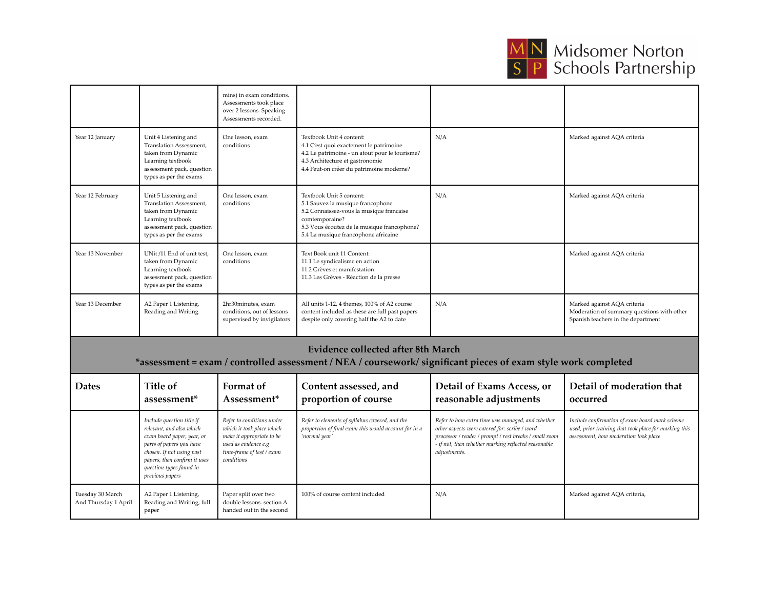

## **MN** Midsomer Norton<br>S P Schools Partnership

Marked against AQA criteria,

|                                                                                                                                                             |                                                                                                                                                                                                                            | mins) in exam conditions.<br>Assessments took place<br>over 2 lessons. Speaking<br>Assessments recorded.                                               |                                                                                                                                                                                                                    |                                                                                                                                                                                                                                    |                                                                                                                                                  |  |  |  |
|-------------------------------------------------------------------------------------------------------------------------------------------------------------|----------------------------------------------------------------------------------------------------------------------------------------------------------------------------------------------------------------------------|--------------------------------------------------------------------------------------------------------------------------------------------------------|--------------------------------------------------------------------------------------------------------------------------------------------------------------------------------------------------------------------|------------------------------------------------------------------------------------------------------------------------------------------------------------------------------------------------------------------------------------|--------------------------------------------------------------------------------------------------------------------------------------------------|--|--|--|
| Year 12 January                                                                                                                                             | Unit 4 Listening and<br>Translation Assessment,<br>taken from Dynamic<br>Learning textbook<br>assessment pack, question<br>types as per the exams                                                                          | One lesson, exam<br>conditions                                                                                                                         | Textbook Unit 4 content:<br>4.1 C'est quoi exactement le patrimoine<br>4.2 Le patrimoine - un atout pour le tourisme?<br>4.3 Architecture et gastronomie<br>4.4 Peut-on créer du patrimoine moderne?               | N/A                                                                                                                                                                                                                                | Marked against AQA criteria                                                                                                                      |  |  |  |
| Year 12 February                                                                                                                                            | Unit 5 Listening and<br>Translation Assessment,<br>taken from Dynamic<br>Learning textbook<br>assessment pack, question<br>types as per the exams                                                                          | One lesson, exam<br>conditions                                                                                                                         | Textbook Unit 5 content:<br>5.1 Sauvez la musique francophone<br>5.2 Connaissez-vous la musique francaise<br>comtemporaine?<br>5.3 Vous écoutez de la musique francophone?<br>5.4 La musique francophone africaine | N/A                                                                                                                                                                                                                                | Marked against AQA criteria                                                                                                                      |  |  |  |
| Year 13 November                                                                                                                                            | UNit /11 End of unit test.<br>taken from Dynamic<br>Learning textbook<br>assessment pack, question<br>types as per the exams                                                                                               | One lesson, exam<br>conditions                                                                                                                         | Text Book unit 11 Content:<br>11.1 Le syndicalisme en action<br>11.2 Grèves et manifestation<br>11.3 Les Grèves - Réaction de la presse                                                                            |                                                                                                                                                                                                                                    | Marked against AQA criteria                                                                                                                      |  |  |  |
| Year 13 December                                                                                                                                            | A2 Paper 1 Listening,<br>Reading and Writing                                                                                                                                                                               | 2hr30minutes, exam<br>conditions, out of lessons<br>supervised by invigilators                                                                         | All units 1-12, 4 themes, 100% of A2 course<br>content included as these are full past papers<br>despite only covering half the A2 to date                                                                         | N/A                                                                                                                                                                                                                                | Marked against AQA criteria<br>Moderation of summary questions with other<br>Spanish teachers in the department                                  |  |  |  |
| <b>Evidence collected after 8th March</b><br>*assessment = exam / controlled assessment / NEA / coursework/ significant pieces of exam style work completed |                                                                                                                                                                                                                            |                                                                                                                                                        |                                                                                                                                                                                                                    |                                                                                                                                                                                                                                    |                                                                                                                                                  |  |  |  |
| <b>Dates</b>                                                                                                                                                | Title of<br>assessment*                                                                                                                                                                                                    | Format of<br>Assessment*                                                                                                                               | Content assessed, and<br>proportion of course                                                                                                                                                                      | Detail of Exams Access, or<br>reasonable adjustments                                                                                                                                                                               | Detail of moderation that<br>occurred                                                                                                            |  |  |  |
|                                                                                                                                                             | Include question title if<br>relevant, and also which<br>exam board paper, year, or<br>parts of papers you have<br>chosen. If not using past<br>papers, then confirm it uses<br>question types found in<br>previous papers | Refer to conditions under<br>which it took place which<br>make it appropriate to be<br>used as evidence e.g<br>time-frame of test / exam<br>conditions | Refer to elements of syllabus covered, and the<br>proportion of final exam this would account for in a<br>'normal year'                                                                                            | Refer to how extra time was managed, and whether<br>other aspects were catered for: scribe / word<br>processor / reader / prompt / rest breaks / small room<br>- if not, then whether marking reflected reasonable<br>adjustments. | Include confirmation of exam board mark scheme<br>used, prior training that took place for marking this<br>assessment, how moderation took place |  |  |  |

100% of course content included

 $N/A$ 

Tuesday 30 March

And Thursday 1 April

A2 Paper 1 Listening,

paper

Reading and Writing, full

Paper split over two

double lessons. section A handed out in the second